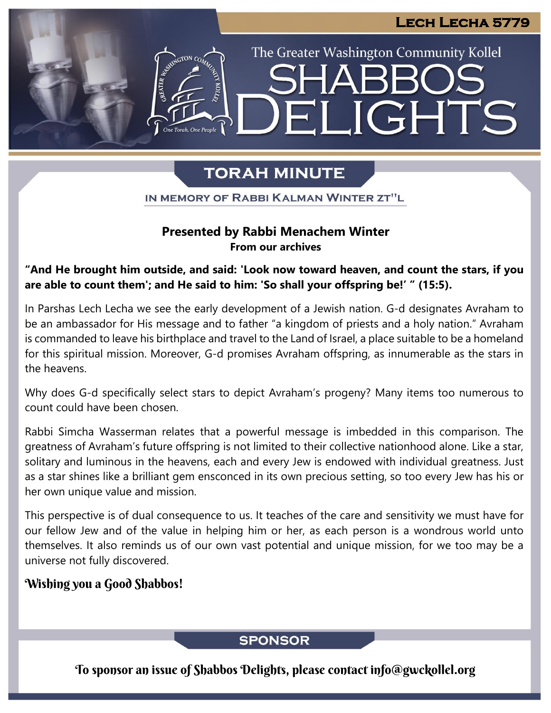# ELIGHTS

The Greater Washington Community Kollel

# **TORAH MINUTE**

IN MEMORY OF RABBI KALMAN WINTER ZT"L

#### **Presented by Rabbi Menachem Winter From our archives**

**"And He brought him outside, and said: 'Look now toward heaven, and count the stars, if you are able to count them'; and He said to him: 'So shall your offspring be!' " (15:5).**

In Parshas Lech Lecha we see the early development of a Jewish nation. G-d designates Avraham to be an ambassador for His message and to father "a kingdom of priests and a holy nation." Avraham is commanded to leave his birthplace and travel to the Land of Israel, a place suitable to be a homeland for this spiritual mission. Moreover, G-d promises Avraham offspring, as innumerable as the stars in the heavens.

Why does G-d specifically select stars to depict Avraham's progeny? Many items too numerous to count could have been chosen.

Rabbi Simcha Wasserman relates that a powerful message is imbedded in this comparison. The greatness of Avraham's future offspring is not limited to their collective nationhood alone. Like a star, solitary and luminous in the heavens, each and every Jew is endowed with individual greatness. Just as a star shines like a brilliant gem ensconced in its own precious setting, so too every Jew has his or her own unique value and mission.

This perspective is of dual consequence to us. It teaches of the care and sensitivity we must have for our fellow Jew and of the value in helping him or her, as each person is a wondrous world unto themselves. It also reminds us of our own vast potential and unique mission, for we too may be a universe not fully discovered.

### Wishing you a Good Shabbos!

## **SPONSOR**

To sponsor an issue of Shabbos Delights, please contact info@gwckollel.org